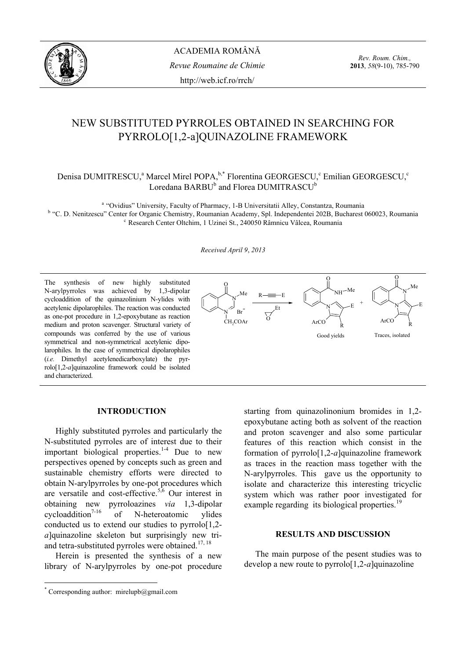

*Rev. Roum. Chim.,*  **2013**, *58*(9-10), 785-790

# NEW SUBSTITUTED PYRROLES OBTAINED IN SEARCHING FOR PYRROLO[1,2-a]QUINAZOLINE FRAMEWORK

## Denisa DUMITRESCU,<sup>a</sup> Marcel Mirel POPA, <sup>b,\*</sup> Florentina GEORGESCU,<sup>c</sup> Emilian GEORGESCU,<sup>c</sup>  $\rm{Lored}$ ana  $\rm{BARBU}^b$  and Florea  $\rm{DUMITRASCU}^b$

<sup>a</sup> "Ovidius" University, Faculty of Pharmacy, 1-B Universitatii Alley, Constantza, Roumania <sup>b</sup> "C. D. Nenitzescu" Center for Organic Chemistry, Roumanian Academy, Spl. Independentei 202B, Bucharest 060023, Roumania Research Center Oltchim, 1 Uzinei St., 240050 Râmnicu Vâlcea, Roumania

*Received April 9*, *2013* 

The synthesis of new highly substituted N-arylpyrroles was achieved by 1,3-dipolar cycloaddition of the quinazolinium N-ylides with acetylenic dipolarophiles. The reaction was conducted as one-pot procedure in 1,2-epoxybutane as reaction medium and proton scavenger. Structural variety of compounds was conferred by the use of various symmetrical and non-symmetrical acetylenic dipolarophiles. In the case of symmetrical dipolarophiles (*i.e.* Dimethyl acetylenedicarboxylate) the pyrrolo[1,2-*a*]quinazoline framework could be isolated and characterized.



## **INTRODUCTION\***

Highly substituted pyrroles and particularly the N-substituted pyrroles are of interest due to their important biological properties. $1-4$  Due to new perspectives opened by concepts such as green and sustainable chemistry efforts were directed to obtain N-arylpyrroles by one-pot procedures which are versatile and cost-effective.<sup>5,6</sup> Our interest in obtaining new pyrroloazines *via* 1,3-dipolar cycloaddition<sup>7-16</sup> of N-heteroatomic vlides conducted us to extend our studies to pyrrolo[1,2 *a*]quinazoline skeleton but surprisingly new triand tetra-substituted pyrroles were obtained.<sup>17, 18</sup>

Herein is presented the synthesis of a new library of N-arylpyrroles by one-pot procedure

 $\overline{a}$ 

starting from quinazolinonium bromides in 1,2 epoxybutane acting both as solvent of the reaction and proton scavenger and also some particular features of this reaction which consist in the formation of pyrrolo[1,2-*a*]quinazoline framework as traces in the reaction mass together with the N-arylpyrroles. This gave us the opportunity to isolate and characterize this interesting tricyclic system which was rather poor investigated for example regarding its biological properties.<sup>19</sup>

## **RESULTS AND DISCUSSION**

The main purpose of the pesent studies was to develop a new route to pyrrolo[1,2-*a*]quinazoline

<sup>\*</sup> Corresponding author: mirelupb@gmail.com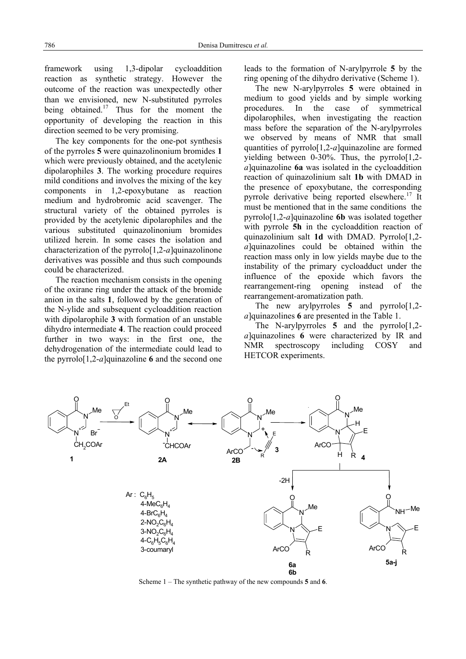framework using 1,3-dipolar cycloaddition reaction as synthetic strategy. However the outcome of the reaction was unexpectedly other than we envisioned, new N-substituted pyrroles being obtained.<sup>17</sup> Thus for the moment the opportunity of developing the reaction in this direction seemed to be very promising.

The key components for the one-pot synthesis of the pyrroles **5** were quinazolinonium bromides **1** which were previously obtained, and the acetylenic dipolarophiles **3**. The working procedure requires mild conditions and involves the mixing of the key components in 1,2-epoxybutane as reaction medium and hydrobromic acid scavenger. The structural variety of the obtained pyrroles is provided by the acetylenic dipolarophiles and the various substituted quinazolinonium bromides utilized herein. In some cases the isolation and characterization of the pyrrolo[1,2-*a*]quinazolinone derivatives was possible and thus such compounds could be characterized.

The reaction mechanism consists in the opening of the oxirane ring under the attack of the bromide anion in the salts **1**, followed by the generation of the N-ylide and subsequent cycloaddition reaction with dipolarophile **3** with formation of an unstable dihydro intermediate **4**. The reaction could proceed further in two ways: in the first one, the dehydrogenation of the intermediate could lead to the pyrrolo<sup>[1,2-*a*]quinazoline **6** and the second one</sup> leads to the formation of N-arylpyrrole **5** by the ring opening of the dihydro derivative (Scheme 1).

The new N-arylpyrroles **5** were obtained in medium to good yields and by simple working procedures. In the case of symmetrical dipolarophiles, when investigating the reaction mass before the separation of the N-arylpyrroles we observed by means of NMR that small quantities of pyrrolo[1,2-*a*]quinazoline are formed yielding between  $0-30\%$ . Thus, the pyrrolo $[1,2$ *a*]quinazoline **6a** was isolated in the cycloaddition reaction of quinazolinium salt **1b** with DMAD in the presence of epoxybutane, the corresponding pyrrole derivative being reported elsewhere.<sup>17</sup> It must be mentioned that in the same conditions the pyrrolo[1,2-*a*]quinazoline **6b** was isolated together with pyrrole **5h** in the cycloaddition reaction of quinazolinium salt **1d** with DMAD. Pyrrolo[1,2 *a*]quinazolines could be obtained within the reaction mass only in low yields maybe due to the instability of the primary cycloadduct under the influence of the epoxide which favors the rearrangement-ring opening instead of the rearrangement-aromatization path.

The new arylpyrroles  $\overline{5}$  and pyrrolo<sup>[1,2-1]</sup> *a*]quinazolines **6** are presented in the Table 1.

The N-arylpyrroles **5** and the pyrrolo[1,2 *a*]quinazolines **6** were characterized by IR and NMR spectroscopy including COSY and HETCOR experiments.



Scheme 1 – The synthetic pathway of the new compounds **5** and **6**.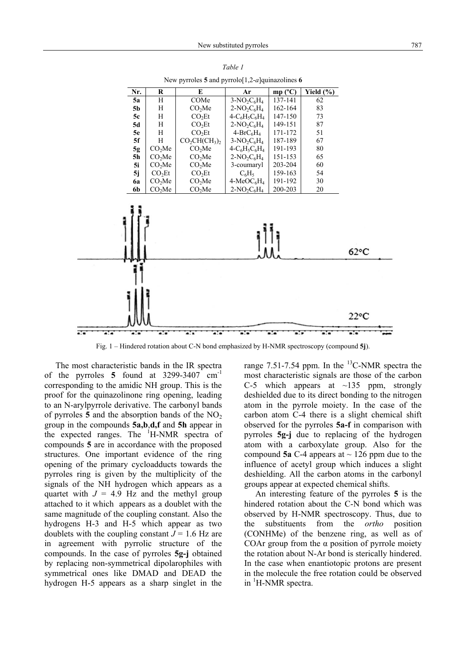

|                                                   | Table 1 |  |  |
|---------------------------------------------------|---------|--|--|
| New pyrroles 5 and pyrrolo [1,2-a] quinazolines 6 |         |  |  |

Fig. 1 – Hindered rotation about C-N bond emphasized by H-NMR spectroscopy (compound **5j**).

The most characteristic bands in the IR spectra of the pyrroles  $5 \text{ found at } 3299-3407 \text{ cm}^{-1}$ corresponding to the amidic NH group. This is the proof for the quinazolinone ring opening, leading to an N-arylpyrrole derivative. The carbonyl bands of pyrroles  $5$  and the absorption bands of the  $NO<sub>2</sub>$ group in the compounds **5a,b**,**d,f** and **5h** appear in the expected ranges. The <sup>1</sup>H-NMR spectra of compounds **5** are in accordance with the proposed structures. One important evidence of the ring opening of the primary cycloadducts towards the pyrroles ring is given by the multiplicity of the signals of the NH hydrogen which appears as a quartet with  $J = 4.9$  Hz and the methyl group attached to it which appears as a doublet with the same magnitude of the coupling constant. Also the hydrogens H-3 and H-5 which appear as two doublets with the coupling constant  $J = 1.6$  Hz are in agreement with pyrrolic structure of the compounds. In the case of pyrroles **5g-j** obtained by replacing non-symmetrical dipolarophiles with symmetrical ones like DMAD and DEAD the hydrogen H-5 appears as a sharp singlet in the

range 7.51-7.54 ppm. In the  $^{13}$ C-NMR spectra the most characteristic signals are those of the carbon C-5 which appears at  $\sim$ 135 ppm, strongly deshielded due to its direct bonding to the nitrogen atom in the pyrrole moiety. In the case of the carbon atom C-4 there is a slight chemical shift observed for the pyrroles **5a-f** in comparison with pyrroles **5g-j** due to replacing of the hydrogen atom with a carboxylate group. Also for the compound **5a** C-4 appears at  $\sim$  126 ppm due to the influence of acetyl group which induces a slight deshielding. All the carbon atoms in the carbonyl groups appear at expected chemical shifts.

An interesting feature of the pyrroles **5** is the hindered rotation about the C-N bond which was observed by H-NMR spectroscopy. Thus, due to the substituents from the *ortho* position (CONHMe) of the benzene ring, as well as of COAr group from the  $\alpha$  position of pyrrole moiety the rotation about N-Ar bond is sterically hindered. In the case when enantiotopic protons are present in the molecule the free rotation could be observed in <sup>1</sup>H-NMR spectra.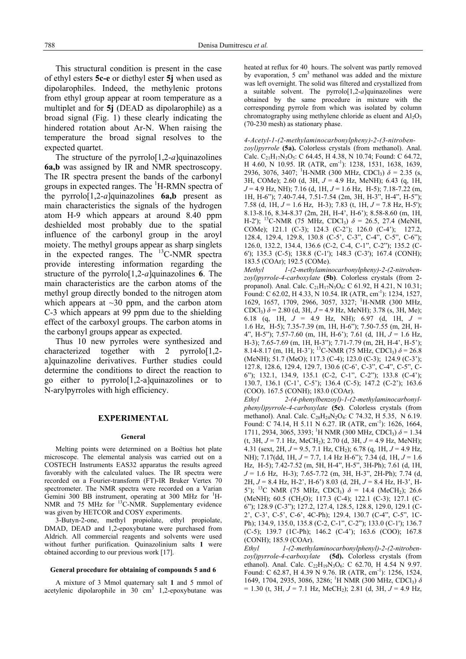This structural condition is present in the case of ethyl esters **5c-e** or diethyl ester **5j** when used as dipolarophiles. Indeed, the methylenic protons from ethyl group appear at room temperature as a multiplet and for **5j** (DEAD as dipolarophile) as a broad signal (Fig. 1) these clearly indicating the hindered rotation about Ar-N. When raising the temperature the broad signal resolves to the expected quartet.

The structure of the pyrrolo[1,2-*a*]quinazolines **6a,b** was assigned by IR and NMR spectroscopy. The IR spectra present the bands of the carbonyl groups in expected ranges. The <sup>1</sup>H-RMN spectra of the pyrrolo<sup>[1,2-a]quinazolines  $6a,b$  present as</sup> main characteristics the signals of the hydrogen atom H-9 which appears at around 8.40 ppm deshielded most probably due to the spatial influence of the carbonyl group in the aroyl moiety. The methyl groups appear as sharp singlets in the expected ranges. The  $^{13}$ C-NMR spectra provide interesting information regarding the structure of the pyrrolo[1,2-*a*]quinazolines **6**. The main characteristics are the carbon atoms of the methyl group directly bonded to the nitrogen atom which appears at  $\sim$ 30 ppm, and the carbon atom C-3 which appears at 99 ppm due to the shielding effect of the carboxyl groups. The carbon atoms in the carbonyl groups appear as expected.

Thus 10 new pyrroles were synthesized and characterized together with 2 pyrrolo<sup>[1,2-]</sup> a]quinazoline derivatives. Further studies could determine the conditions to direct the reaction to go either to pyrrolo[1,2-a]quinazolines or to N-arylpyrroles with high efficiency.

## **EXPERIMENTAL**

#### **General**

Melting points were determined on a Boëtius hot plate microscope. The elemental analysis was carried out on a COSTECH Instruments EAS32 apparatus the results agreed favorably with the calculated values. The IR spectra were recorded on a Fourier-transform (FT)-IR Bruker Vertex 70 spectrometer. The NMR spectra were recorded on a Varian Gemini 300 BB instrument, operating at 300 MHz for  ${}^{1}$ H-NMR and 75 MHz for <sup>13</sup>C-NMR. Supplementary evidence was given by HETCOR and COSY experiments.

3-Butyn-2-one, methyl propiolate, ethyl propiolate, DMAD, DEAD and 1,2-epoxybutane were purchased from Aldrich. All commercial reagents and solvents were used without further purification. Quinazolinium salts **1** were obtained according to our previous work [17].

#### **General procedure for obtaining of compounds 5 and 6**

A mixture of 3 Mmol quaternary salt **1** and 5 mmol of acetylenic dipolarophile in  $30 \text{ cm}^3$  1,2-epoxybutane was heated at reflux for 40 hours. The solvent was partly removed by evaporation,  $5 \text{ cm}^3$  methanol was added and the mixture was left overnight. The solid was filtered and crystallized from a suitable solvent. The pyrrolo[1,2-*a*]quinazolines were obtained by the same procedure in mixture with the corresponding pyrrole from which was isolated by column chromatography using methylene chloride as eluent and  $Al_2O_3$ (70-230 mesh) as stationary phase.

#### *4-Acetyl-1-(2-methylaminocarbonylpheny)-2-(3-nitroben-*

*zoyl)pyrrole* **(5a).** Colorless crystals (from methanol). Anal. Calc.  $C_{21}H_{17}N_3O_5$ : C 64.45, H 4.38, N 10.74; Found: C 64.72, H 4.60, N 10.95. IR (ATR, cm<sup>-1</sup>): 1238, 1531, 1638, 1639, 2936, 3076, 3407; <sup>1</sup> H-NMR (300 MHz, CDCl3) *δ* = 2.35 (s, 3H, COMe); 2.60 (d, 3H, *J* = 4.9 Hz, MeNH); 6.43 (q, 1H, *J* = 4.9 Hz, NH); 7.16 (d, 1H, *J* = 1.6 Hz, H-5); 7.18-7.22 (m, 1H, H-6"); 7.40-7.44, 7.51-7.54 (2m, 3H, H-3", H-4", H-5"); 7.58 (d, 1H, *J* = 1.6 Hz, H-3); 7.83 (t, 1H, *J* = 7.8 Hz, H-5'); 8.13-8.16, 8.34-8.37 (2m, 2H, H-4', H-6'); 8.58-8.60 (m, 1H, H-2'); 13C-NMR (75 MHz, CDCl3) *δ* = 26.5, 27.4 (MeNH, COMe); 121.1 (C-3); 124.3 (C-2'); 126.0 (C-4'); 127.2, 128.4, 129.4, 129.8, 130.8 (C-5', C-3", C-4", C-5", C-6"); 126.0, 132.2, 134.4, 136.6 (C-2, C-4, C-1", C-2"); 135.2 (C-6'); 135.3 (C-5); 138.8 (C-1'); 148.3 (C-3'); 167.4 (CONH); 183.5 (COAr); 192.5 (COMe).

*Methyl 1-(2-methylaminocarbonylpheny)-2-(2-nitrobenzoyl)pyrrole-4-carboxylate* **(5b)**. Colorless crystals (from 2 propanol). Anal. Calc.  $C_{21}H_{17}N_3O_6$ : C 61.92, H 4.21, N 10.31; Found: C 62.02, H 4.33, N 10.54. IR (ATR, cm<sup>-1</sup>): 1234, 1527, 1629, 1657, 1709, 2966, 3057, 3327; <sup>1</sup>H-NMR (300 MHz, CDCl<sub>3</sub>)  $\delta$  = 2.80 (d, 3H, J = 4.9 Hz, MeNH); 3.78 (s, 3H, Me); 6.18 (q, 1H, *J* = 4.9 Hz, NH); 6.97 (d, 1H, *J* = 1.6 Hz, H-5); 7.35-7.39 (m, 1H, H-6"); 7.50-7.55 (m, 2H, H-4", H-5"); 7.57-7.60 (m, 1H, H-6'); 7.61 (d, 1H, *J* = 1.6 Hz, H-3); 7.65-7.69 (m, 1H, H-3"); 7.71-7.79 (m, 2H, H-4', H-5'); 8.14-8.17 (m, 1H, H-3'); <sup>13</sup>C-NMR (75 MHz, CDCl<sub>3</sub>)  $\delta$  = 26.8 (MeNH); 51.7 (MeO); 117.3 (C-4); 123.0 (C-3); 124.9 (C-3'); 127.8, 128.6, 129.4, 129.7, 130.6 (C-6', C-3", C-4", C-5", C-6"); 132.1, 134.9, 135.1 (C-2, C-1", C-2"); 133.8 (C-4'); 130.7, 136.1 (C-1', C-5'); 136.4 (C-5); 147.2 (C-2'); 163.6 (COO). 167.5 (CONH); 183.0 (COAr).

*Ethyl 2-(4-phenylbenzoyl)-1-(2-methylaminocarbonylphenyl)pyrrole-4-carboxylate* **(5c)**. Colorless crystals (from methanol). Anal. Calc. C<sub>28</sub>H<sub>24</sub>N<sub>2</sub>O<sub>4</sub>: C 74.32, H 5.35, N 6.19. Found: C 74.14, H 5.11 N 6.27. IR (ATR, cm<sup>-1</sup>): 1626, 1664, 1711, 2934, 3065, 3393; <sup>1</sup>H NMR (300 MHz, CDCl<sub>3</sub>)  $\delta$  = 1.34  $(t, 3H, J = 7.1 \text{ Hz}, \text{MeCH}_2$ ); 2.70 (d, 3H,  $J = 4.9 \text{ Hz}, \text{MeNH}$ ); 4.31 (sext, 2H, *J* = 9.5, 7.1 Hz, CH2); 6.78 (q, 1H, *J* = 4.9 Hz, NH); 7.17(dd, 1H, *J* = 7.7, 1.4 Hz H-6"); 7.34 (d, 1H, *J* = 1.6 Hz, H-5); 7.42-7.52 (m, 5H, H-4", H-5", 3H-Ph); 7.61 (d, 1H, *J* = 1.6 Hz, H-3); 7.65-7.72 (m, 3H, H-3", 2H-Ph); 7.74 (d, 2H, *J* = 8.4 Hz, H-2', H-6') 8.03 (d, 2H, *J* = 8.4 Hz, H-3', H-5'); <sup>13</sup>C NMR (75 MHz, CDCl<sub>3</sub>)  $\delta$  = 14.4 (MeCH<sub>2</sub>); 26.6 (MeNH); 60.5 (CH<sub>2</sub>O); 117.3 (C-4); 122.1 (C-3); 127.1 (C-6"); 128.9 (C-3"); 127.2, 127.4, 128.5, 128.8, 129.0, 129.1 (C-2', C-3', C-5', C-6', 4C-Ph); 129.4, 130.7 (C-4", C-5", 1C-Ph); 134.9, 135.0, 135.8 (C-2, C-1", C-2"); 133.0 (C-1'); 136.7 (C-5); 139.7 (1C-Ph); 146.2 (C-4'); 163.6 (COO); 167.8 (CONH); 185.9 (COAr).

*Ethyl 1-(2-methylaminocarbonylphenyl)-2-(2-nitrobenzoyl)pyrrole-4-carboxylate* **(5d).** Colorless crystals (from ethanol). Anal. Calc.  $C_{22}H_{19}N_3O_6$ : C 62.70, H 4.54 N 9.97. Found: C 62.87, H 4.39 N 9.76. IR (ATR, cm<sup>-1</sup>): 1256, 1524, 1649, 1704, 2935, 3086, 3286; <sup>1</sup>H NMR (300 MHz, CDCl<sub>3</sub>) δ  $= 1.30$  (t, 3H,  $J = 7.1$  Hz, MeCH<sub>2</sub>); 2.81 (d, 3H,  $J = 4.9$  Hz,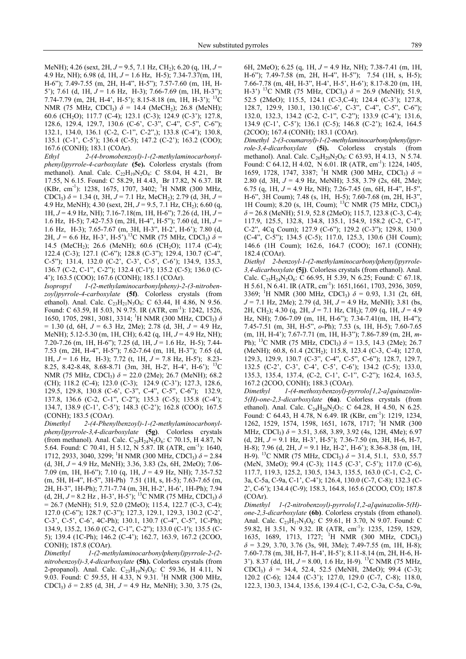MeNH); 4.26 (sext, 2H, *J* = 9.5, 7.1 Hz, CH2); 6.20 (q, 1H, *J* = 4.9 Hz, NH); 6.98 (d, 1H, *J* = 1.6 Hz, H-5); 7.34-7.37(m, 1H, H-6"); 7.49-7.55 (m, 2H, H-4", H-5"); 7.57-7.60 (m, 1H, H-5'); 7.61 (d, 1H, *J* = 1.6 Hz, H-3); 7.66-7.69 (m, 1H, H-3"); 7.74-7.79 (m, 2H, H-4', H-5'); 8.15-8.18 (m, 1H, H-3'); 13C NMR (75 MHz, CDCl<sub>3</sub>)  $\delta$  = 14.4 (MeCH<sub>2</sub>); 26.8 (MeNH); 60.6 (CH2O); 117.7 (C-4); 123.1 (C-3); 124.9 (C-3'); 127.8, 128.6, 129.4, 129.7, 130.6 (C-6', C-3", C-4", C-5", C-6"); 132.1, 134.0, 136.1 (C-2, C-1", C-2",); 133.8 (C-4'); 130.8, 135.1 (C-1', C-5'); 136.4 (C-5); 147.2 (C-2'); 163.2 (COO); 167.6 (CONH); 183.1 (COAr).

*Ethyl 2-(4-bromobenzoyl)-1-(2-methylaminocarbonylphenyl)pyrrole-4-carboxylate* **(5e).** Colorless crystals (from methanol). Anal. Calc.  $C_{22}H_{19}N_2O_4$ : C 58.04, H 4.21, Br 17.55, N 6.15. Found: C 58.29, H 4.43, Br 17.82, N 6.37. IR (KBr, cm-1): 1238, 1675, 1707, 3402; 1 H NMR (300 MHz, CDCl<sub>3</sub>)  $\delta$  = 1.34 (t, 3H, *J* = 7.1 Hz, MeCH<sub>2</sub>); 2.79 (d, 3H, *J* = 4.9 Hz, MeNH); 4.30 (sext, 2H,  $J = 9.5$ , 7.1 Hz, CH<sub>2</sub>); 6.60 (q, 1H, *J* = 4.9 Hz, NH); 7.16-7.18(m, 1H, H-6"); 7.26 (d, 1H, *J* = 1.6 Hz, H-5); 7.42-7.53 (m, 2H, H-4", H-5"); 7.60 (d, 1H, *J* = 1.6 Hz, H-3); 7.65-7.67 (m, 3H, H-3", H-2', H-6'); 7.80 (d, 2H,  $J = 6.6$  Hz, H-3<sup>2</sup>, H-5<sup>2</sup>).<sup>13</sup>C NMR (75 MHz, CDCl<sub>3</sub>)  $\delta =$ 14.5 (MeCH<sub>2</sub>); 26.6 (MeNH); 60.6 (CH<sub>2</sub>O); 117.4 (C-4); 122.4 (C-3); 127.1 (C-6"); 128.8 (C-3"); 129.4, 130.7 (C-4", C-5"); 131.4, 132.0 (C-2', C-3', C-5', C-6'); 134.9, 135.3, 136.7 (C-2, C-1", C-2"); 132.4 (C-1'); 135.2 (C-5); 136.0 (C-4'); 163.5 (COO); 167.6 (CONH); 185.1 (COAr).

*Isopropyl 1-(2-methylaminocarbonylpheny)-2-(3-nitrobenzoyl)pyrrole-4-carboxylate* **(5f)**. Colorless crystals (from ethanol). Anal. Calc. C<sub>23</sub>H<sub>21</sub>N<sub>3</sub>O<sub>6</sub>: C 63.44, H 4.86, N 9.56. Found: C 63.59, H 5.03, N 9.75. IR (ATR, cm<sup>-1</sup>): 1242, 1526, 1650, 1705, 2981, 3081, 3314; <sup>1</sup>H NMR (300 MHz, CDCl<sub>3</sub>) δ = 1.30 (d, 6H, *J* = 6.3 Hz, 2Me); 2.78 (d, 3H, *J* = 4.9 Hz, MeNH); 5.12-5.30 (m, 1H, CH); 6.42 (q, 1H, *J* = 4.9 Hz, NH); 7.20-7.26 (m, 1H, H-6"); 7.25 (d, 1H, *J* = 1.6 Hz, H-5); 7.44- 7.53 (m, 2H, H-4", H-5"); 7.62-7.64 (m, 1H, H-3"); 7.65 (d, 1H, *J* = 1.6 Hz, H-3); 7.72 (t, 1H, *J* = 7.8 Hz, H-5'); 8.23- 8.25, 8.42-8.48, 8.68-8.71 (3m, 3H, H-2', H-4', H-6'); 13C NMR (75 MHz, CDCl<sub>3</sub>)  $\delta$  = 22.0 (2Me); 26.7 (MeNH); 68.2 (CH); 118.2 (C-4); 123.0 (C-3); 124.9 (C-3'); 127.3, 128.6, 129.5, 129.8, 130.8 (C-6', C-3", C-4", C-5", C-6"); 132.9, 137.8, 136.6 (C-2, C-1", C-2"); 135.3 (C-5); 135.8 (C-4'); 134.7, 138.9 (C-1', C-5'); 148.3 (C-2'); 162.8 (COO); 167.5 (CONH); 183.5 (COAr).

*Dimethyl 2-(4-Phenylbenzoyl)-1-(2-methylaminocarbonylphenyl)pyrrole-3,4-dicarboxylate* **(5g)**. Colorless crystals (from methanol). Anal. Calc.  $C_{29}H_{24}N_2O_6$ : C 70.15, H 4.87, N 5.64. Found: C 70.41, H 5.12, N 5.87. IR (ATR, cm<sup>-1</sup>): 1640, 1712, 2933, 3040, 3299; <sup>1</sup>H NMR (300 MHz, CDCl<sub>3</sub>)  $\delta$  = 2.84 (d, 3H, *J* = 4.9 Hz, MeNH); 3.36, 3.83 (2s, 6H, 2MeO); 7.06- 7.09 (m, 1H, H-6"); 7.10 (q, 1H, *J* = 4.9 Hz, NH); 7.35-7.52 (m, 5H, H-4", H-5", 3H-Ph) 7.51 (1H, s, H-5); 7.63-7.65 (m, 2H, H-3", 1H-Ph); 7.71-7.74 (m, 3H, H-2', H-6', 1H-Ph); 7.94 (d, 2H,  $J = 8.2$  Hz, H-3', H-5'); <sup>13</sup>C NMR (75 MHz, CDCl<sub>3</sub>)  $\delta$  $= 26.7$  (MeNH); 51.9, 52.0 (2MeO); 115.4, 122.7 (C-3, C-4); 127.0 (C-6"); 128.7 (C-3"); 127.3, 129.1, 129.3, 130.2 (C-2', C-3', C-5', C-6', 4C-Ph); 130.1, 130.7 (C-4", C-5", 1C-Ph); 134.9, 135.2, 136.0 (C-2, C-1", C-2"); 133.0 (C-1'); 135.5 (C-5); 139.4 (1C-Ph); 146.2 (C-4'); 162.7, 163.9, 167.2 (2COO, CONH); 187.8 (COAr).

*Dimethyl 1-(2-methylaminocarbonylphenyl)pyrrole-2-(2 nitrobenzoyl)-3,4-dicarboxylate* **(5h).** Colorless crystals (from 2-propanol). Anal. Calc.  $C_{23}H_{19}N_3O_8$ : C 59.36, H 4.11, N 9.03. Found: C 59.55, H 4.33, N 9.31. <sup>1</sup> H NMR (300 MHz, CDCl3) *δ* = 2.85 (d, 3H, *J* = 4.9 Hz, MeNH); 3.30, 3.75 (2s,

6H, 2MeO); 6.25 (q, 1H, *J* = 4.9 Hz, NH); 7.38-7.41 (m, 1H, H-6"); 7.49-7.58 (m, 2H, H-4", H-5"); 7.54 (1H, s, H-5); 7.66-7.78 (m, 4H, H-3", H-4', H-5', H-6'); 8.17-8.20 (m, 1H, H-3') <sup>13</sup>C NMR (75 MHz, CDCl<sub>3</sub>)  $\delta$  = 26.9 (MeNH); 51.9, 52.5 (2MeO); 115.5, 124.1 (C-3,C-4); 124.4 (C-3'); 127.8, 128.7, 129.9, 130.1, 130.1(C-6', C-3", C-4", C-5", C-6"); 132.0, 132.3, 134.2 (C-2, C-1", C-2"); 133.9 (C-4'); 131.6, 134.9 (C-1', C-5'); 136.1 (C-5); 146.8 (C-2'); 162.4, 164.5 (2COO); 167.4 (CONH); 183.1 (COAr).

*Dimethyl 2-(3-coumaroyl)-1-(2-methylaminocarbonylphenyl)pyrrole-3,4-dicarboxylate* **(5i).** Colorless crystals (from methanol). Anal. Calc.  $C_{26}H_{20}N_2O_8$ : C 63.93, H 4.13, N 5.74. Found: C 64.12, H 4.02, N 6.01. IR (ATR, cm<sup>-1</sup>): 1224, 1405, 1659, 1728, 1747, 3387; <sup>1</sup>H NMR (300 MHz, CDCl<sub>3</sub>)  $\delta$  = 2.80 (d, 3H, *J* = 4.9 Hz, MeNH); 3.58, 3.79 (2s, 6H, 2Me); 6.75 (q, 1H, *J* = 4.9 Hz, NH); 7.26-7.45 (m, 6H, H-4", H-5", H-6",  $\overline{3}$ H Coum); 7.48 (s, 1H, H-5); 7.60-7.68 (m, 2H, H-3", 1H Counter 2.20 (m, 2H, H-3", 1H Coum); 8.20 (s, 1H, Coum); 13C NMR (75 MHz, CDCl3)  $\delta$  = 26.8 (MeNH); 51.9, 52.8 (2MeO); 115.7, 123.8 (C-3, C-4); 117.9, 125.5, 132.8, 134.8, 135.1, 154.9, 158.2 (C-2, C-1", C-2", 4Cq Coum); 127.9 (C-6"); 129.2 (C-3"); 129.8, 130.0 (C-4", C-5"); 134.5 (C-5); 117.0, 125.3, 130.6 (3H Coum); 146.6 (1H Coum); 162.6, 164.7 (COO); 167.1 (CONH); 182.4 (COAr).

*Diethyl 2-benzoyl-1-(2-methylaminocarbonylphenyl)pyrrole-3,4-dicarboxylate* **(5j)**. Colorless crystals (from ethanol). Anal. Calc.  $C_{25}H_{24}N_{2}O_{6}$ : C 66.95, H 5.39, N 6.25; Found: C 67.18, H 5.61, N 6.41. IR (ATR, cm<sup>-1</sup>): 1651, 1661, 1703, 2936, 3059, 3369; <sup>1</sup>H NMR (300 MHz, CDCl<sub>3</sub>)  $\delta$  = 0.93, 1.31 (2t, 6H, *J* = 7.1 Hz, 2Me); 2.79 (d, 3H, *J* = 4.9 Hz, MeNH); 3.81 (bs, 2H, CH2); 4.30 (q, 2H, *J* = 7.1 Hz, CH2); 7.09 (q, 1H, *J* = 4.9 Hz, NH); 7.06-7.09 (m, 1H, H-6"); 7.34-7.41(m, 1H, H-4"); 7.45-7.51 (m, 3H, H-5", *o*-Ph); 7.53 (s, 1H, H-5); 7.60-7.65 (m, 1H, H-4'); 7.67-7.71 (m, 1H, H-3"); 7.86-7.89 (m, 2H, *m*-Ph); <sup>13</sup>C NMR (75 MHz, CDCl<sub>3</sub>)  $\delta$  = 13.5, 14.3 (2Me); 26.7 (MeNH); 60.8, 61.4 (2CH<sub>2</sub>); 115.8, 123.4 (C-3, C-4); 127.0, 129.3, 129.9, 130.7 (C-3", C-4", C-5", C-6"); 128.7, 129.7, 132.5 (C-2', C-3', C-4', C-5', C-6'); 134.2 (C-5); 133.0, 135.3, 135.4, 137.4, (C-2, C-1', C-1'', C-2''); 162.4, 163.5, 167.2 (2COO, CONH); 188.3 (COAr).

*Dimethyl 1-(4-methoxybenzoyl)-pyrrolo[1,2-a]quinazolin-5(H)-one-2,3-dicarboxylate* **(6a)**. Colorless crystals (from ethanol). Anal. Calc. C<sub>24</sub>H<sub>20</sub>N<sub>2</sub>O<sub>7</sub>: C 64.28, H 4.50, N 6.25. Found: C 64.43, H 4.78, N 6.49. IR (KBr, cm<sup>-1</sup>): 1219, 1234, 1262, 1529, 1574, 1598, 1651, 1678, 1717; <sup>1</sup>H NMR (300 MHz, CDCl<sub>3</sub>)  $\delta$  = 3.51, 3.68, 3.89, 3.92 (4s, 12H, 4Me); 6.97 (d, 2H, *J* = 9.1 Hz, H-3', H-5'); 7.36-7.50 (m, 3H, H-6, H-7, H-8); 7.96 (d, 2H, *J* = 9.1 Hz, H-2', H-6'); 8.36-8.38 (m, 1H, H-9). <sup>13</sup>C NMR (75 MHz, CDCl<sub>3</sub>)  $\delta$  = 31.4, 51.1, 53.0, 55.7 (MeN, 3MeO); 99.4 (C-3); 114.5 (C-3', C-5'); 117.0 (C-6), 117.7, 119.3, 125.2, 130.5, 134.3, 135.5, 163.0 (C-1, C-2, C-3a, C-5a, C-9a, C-1', C-4'); 126.4, 130.0 (C-7, C-8); 132.3 (C-2', C-6'); 134.4 (C-9); 158.3, 164.8, 165.6 (2COO, CO); 187.8 (COAr).

*Dimethyl 1-(2-nitrobenzoyl)-pyrrolo[1,2-a]quinazolin-5(H) one-2,3-dicarboxylate* **(6b)**. Colorless crystals (from ethanol). Anal. Calc. C<sub>23</sub>H<sub>17</sub>N<sub>3</sub>O<sub>8</sub>: C 59.61, H 3.70, N 9.07. Found: C 59.82, H 3.51, N 9.32. IR (ATR, cm<sup>-1</sup>): 1235, 1259, 1529, 1635, 1689, 1713, 1727; <sup>1</sup>H NMR (300 MHz, CDCl<sub>3</sub>)  $\delta$  = 3.29, 3.70, 3.76 (3s, 9H, 3Me); 7.49-7.55 (m, 1H, H-8); 7.60-7.78 (m, 3H, H-7, H-4', H-5'); 8.11-8.14 (m, 2H, H-6, H-3'). 8.37 (dd, 1H, *J* = 8.00, 1.6 Hz, H-9). 13C NMR (75 MHz, CDCl<sub>3</sub>)  $\delta$  = 34.4, 52.4, 52.5 (MeNH, 2MeO); 99.4 (C-3); 120.2 (C-6); 124.4 (C-3'); 127.0, 129.0 (C-7, C-8); 118.0, 122.3, 130.3, 134.4, 135.6, 139.4 (C-1, C-2, C-3a, C-5a, C-9a,